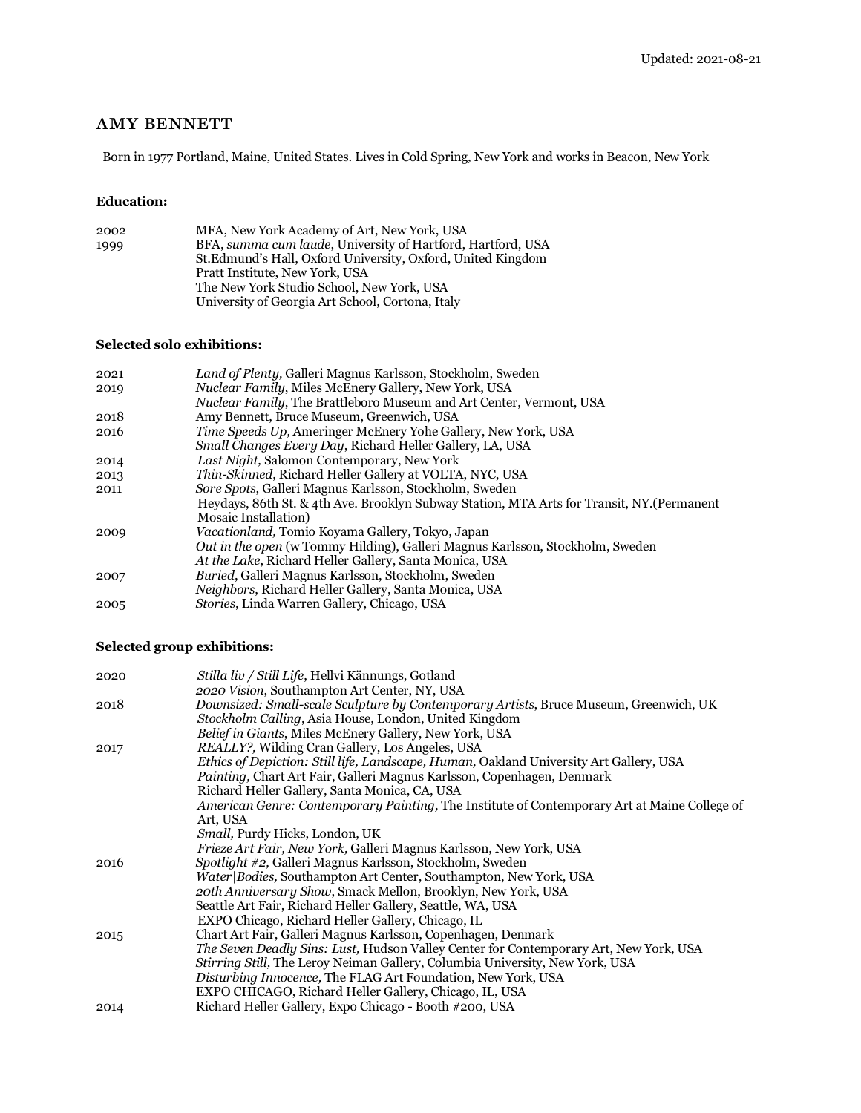## **AMY BENNETT**

Born in 1977 Portland, Maine, United States. Lives in Cold Spring, New York and works in Beacon, New York

#### **Education:**

| 2002 | MFA, New York Academy of Art, New York, USA                  |
|------|--------------------------------------------------------------|
| 1999 | BFA, summa cum laude, University of Hartford, Hartford, USA  |
|      | St. Edmund's Hall, Oxford University, Oxford, United Kingdom |
|      | Pratt Institute, New York, USA                               |
|      | The New York Studio School, New York, USA                    |
|      | University of Georgia Art School, Cortona, Italy             |
|      |                                                              |

### **Selected solo exhibitions:**

| 2021 | Land of Plenty, Galleri Magnus Karlsson, Stockholm, Sweden                                 |
|------|--------------------------------------------------------------------------------------------|
| 2019 | <i>Nuclear Family, Miles McEnery Gallery, New York, USA</i>                                |
|      | <i>Nuclear Family</i> , The Brattleboro Museum and Art Center, Vermont, USA                |
| 2018 | Amy Bennett, Bruce Museum, Greenwich, USA                                                  |
| 2016 | <i>Time Speeds Up, Ameringer McEnery Yohe Gallery, New York, USA</i>                       |
|      | Small Changes Every Day, Richard Heller Gallery, LA, USA                                   |
| 2014 | Last Night, Salomon Contemporary, New York                                                 |
| 2013 | Thin-Skinned, Richard Heller Gallery at VOLTA, NYC, USA                                    |
| 2011 | <i>Sore Spots, Galleri Magnus Karlsson, Stockholm, Sweden</i>                              |
|      | Heydays, 86th St. & 4th Ave. Brooklyn Subway Station, MTA Arts for Transit, NY. (Permanent |
|      | <b>Mosaic Installation</b> )                                                               |
| 2009 | <i>Vacationland</i> , Tomio Koyama Gallery, Tokyo, Japan                                   |
|      | <i>Out in the open</i> (w Tommy Hilding), Galleri Magnus Karlsson, Stockholm, Sweden       |
|      | At the Lake, Richard Heller Gallery, Santa Monica, USA                                     |
| 2007 | <i>Buried</i> , Galleri Magnus Karlsson, Stockholm, Sweden                                 |
|      | <i>Neighbors, Richard Heller Gallery, Santa Monica, USA</i>                                |
| 2005 | <i>Stories, Linda Warren Gallery, Chicago, USA</i>                                         |

## **Selected group exhibitions:**

| <i>Stilla liv / Still Life</i> , Hellvi Kännungs, Gotland                                    |
|----------------------------------------------------------------------------------------------|
| 2020 Vision, Southampton Art Center, NY, USA                                                 |
| Downsized: Small-scale Sculpture by Contemporary Artists, Bruce Museum, Greenwich, UK        |
| Stockholm Calling, Asia House, London, United Kingdom                                        |
| <i>Belief in Giants, Miles McEnery Gallery, New York, USA</i>                                |
| <i>REALLY?</i> , Wilding Cran Gallery, Los Angeles, USA                                      |
| Ethics of Depiction: Still life, Landscape, Human, Oakland University Art Gallery, USA       |
| Painting, Chart Art Fair, Galleri Magnus Karlsson, Copenhagen, Denmark                       |
| Richard Heller Gallery, Santa Monica, CA, USA                                                |
| American Genre: Contemporary Painting, The Institute of Contemporary Art at Maine College of |
| Art, USA                                                                                     |
| Small, Purdy Hicks, London, UK                                                               |
| Frieze Art Fair, New York, Galleri Magnus Karlsson, New York, USA                            |
| <i>Spotlight #2, Galleri Magnus Karlsson, Stockholm, Sweden</i>                              |
| Water Bodies, Southampton Art Center, Southampton, New York, USA                             |
| 20th Anniversary Show, Smack Mellon, Brooklyn, New York, USA                                 |
| Seattle Art Fair, Richard Heller Gallery, Seattle, WA, USA                                   |
| EXPO Chicago, Richard Heller Gallery, Chicago, IL                                            |
| Chart Art Fair, Galleri Magnus Karlsson, Copenhagen, Denmark                                 |
| <i>The Seven Deadly Sins: Lust, Hudson Valley Center for Contemporary Art, New York, USA</i> |
| Stirring Still, The Leroy Neiman Gallery, Columbia University, New York, USA                 |
| Disturbing Innocence, The FLAG Art Foundation, New York, USA                                 |
| EXPO CHICAGO, Richard Heller Gallery, Chicago, IL, USA                                       |
| Richard Heller Gallery, Expo Chicago - Booth #200, USA                                       |
|                                                                                              |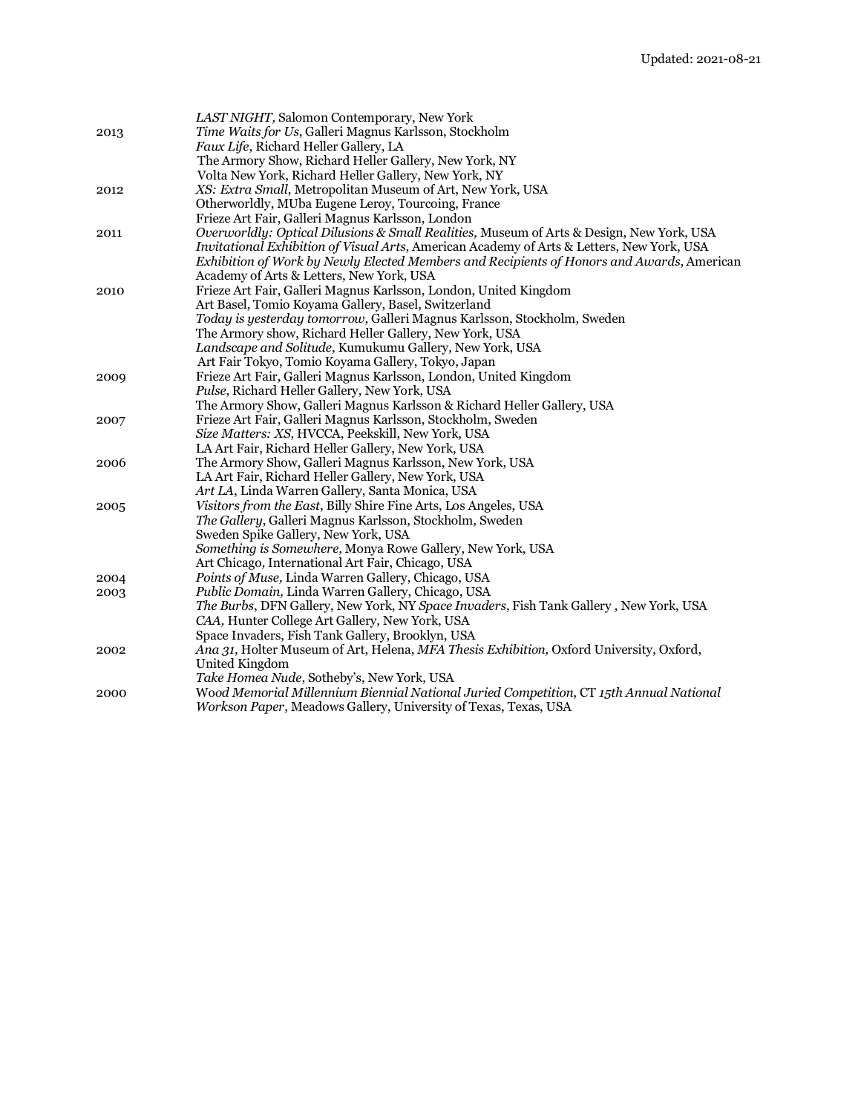|      | LAST NIGHT, Salomon Contemporary, New York                                                     |
|------|------------------------------------------------------------------------------------------------|
| 2013 | Time Waits for Us, Galleri Magnus Karlsson, Stockholm                                          |
|      | Faux Life, Richard Heller Gallery, LA                                                          |
|      | The Armory Show, Richard Heller Gallery, New York, NY                                          |
|      | Volta New York, Richard Heller Gallery, New York, NY                                           |
| 2012 | XS: Extra Small, Metropolitan Museum of Art, New York, USA                                     |
|      | Otherworldly, MUba Eugene Leroy, Tourcoing, France                                             |
|      | Frieze Art Fair, Galleri Magnus Karlsson, London                                               |
| 2011 | Overworldly: Optical Dilusions & Small Realities, Museum of Arts & Design, New York, USA       |
|      | Invitational Exhibition of Visual Arts, American Academy of Arts & Letters, New York, USA      |
|      | Exhibition of Work by Newly Elected Members and Recipients of Honors and Awards, American      |
|      | Academy of Arts & Letters, New York, USA                                                       |
| 2010 | Frieze Art Fair, Galleri Magnus Karlsson, London, United Kingdom                               |
|      | Art Basel, Tomio Koyama Gallery, Basel, Switzerland                                            |
|      | Today is yesterday tomorrow, Galleri Magnus Karlsson, Stockholm, Sweden                        |
|      | The Armory show, Richard Heller Gallery, New York, USA                                         |
|      | Landscape and Solitude, Kumukumu Gallery, New York, USA                                        |
|      | Art Fair Tokyo, Tomio Koyama Gallery, Tokyo, Japan                                             |
| 2009 | Frieze Art Fair, Galleri Magnus Karlsson, London, United Kingdom                               |
|      | Pulse, Richard Heller Gallery, New York, USA                                                   |
|      | The Armory Show, Galleri Magnus Karlsson & Richard Heller Gallery, USA                         |
| 2007 | Frieze Art Fair, Galleri Magnus Karlsson, Stockholm, Sweden                                    |
|      | Size Matters: XS, HVCCA, Peekskill, New York, USA                                              |
|      | LA Art Fair, Richard Heller Gallery, New York, USA                                             |
| 2006 | The Armory Show, Galleri Magnus Karlsson, New York, USA                                        |
|      | LA Art Fair, Richard Heller Gallery, New York, USA                                             |
|      | Art LA, Linda Warren Gallery, Santa Monica, USA                                                |
| 2005 | Visitors from the East, Billy Shire Fine Arts, Los Angeles, USA                                |
|      | The Gallery, Galleri Magnus Karlsson, Stockholm, Sweden<br>Sweden Spike Gallery, New York, USA |
|      | Something is Somewhere, Monya Rowe Gallery, New York, USA                                      |
|      | Art Chicago, International Art Fair, Chicago, USA                                              |
| 2004 | <i>Points of Muse, Linda Warren Gallery, Chicago, USA</i>                                      |
| 2003 | Public Domain, Linda Warren Gallery, Chicago, USA                                              |
|      | The Burbs, DFN Gallery, New York, NY Space Invaders, Fish Tank Gallery, New York, USA          |
|      | CAA, Hunter College Art Gallery, New York, USA                                                 |
|      | Space Invaders, Fish Tank Gallery, Brooklyn, USA                                               |
| 2002 | Ana 31, Holter Museum of Art, Helena, MFA Thesis Exhibition, Oxford University, Oxford,        |
|      | United Kingdom                                                                                 |
|      | Take Homea Nude, Sotheby's, New York, USA                                                      |
| 2000 | Wood Memorial Millennium Biennial National Juried Competition, CT 15th Annual National         |
|      | Workson Paper, Meadows Gallery, University of Texas, Texas, USA                                |
|      |                                                                                                |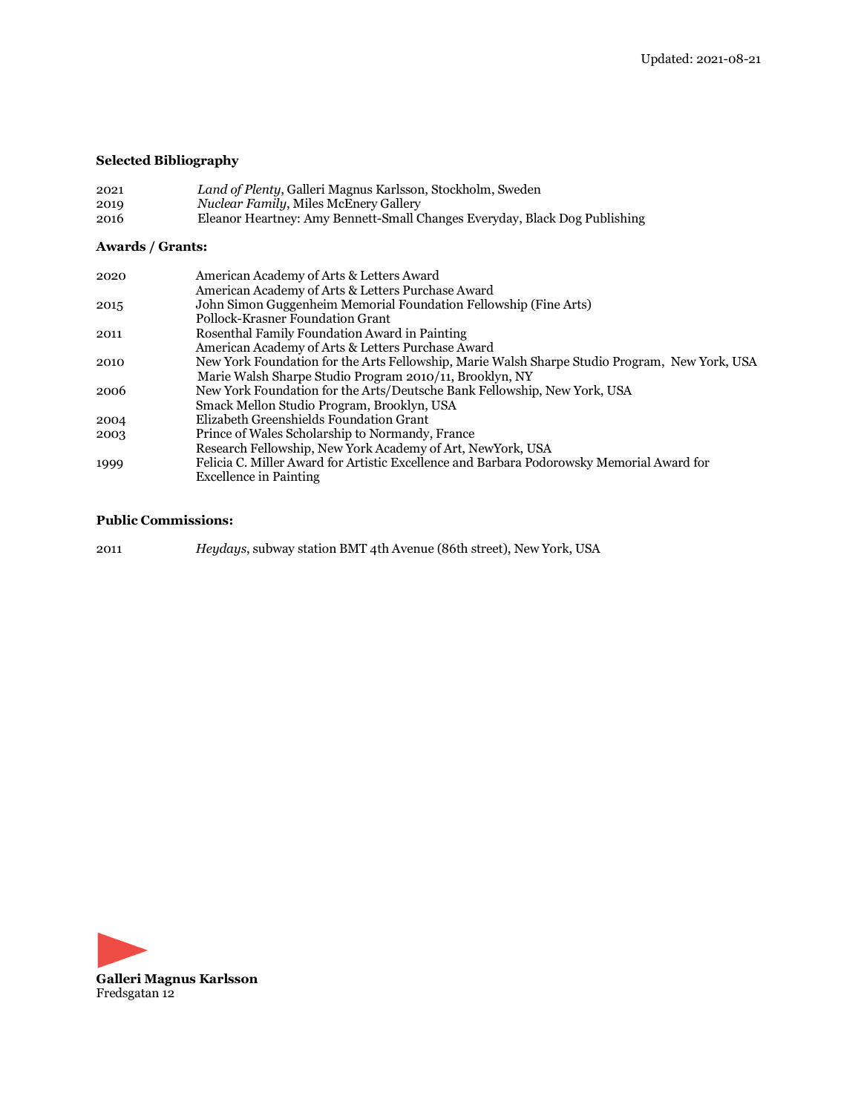# **Selected Bibliography**

| 2021 | Land of Plenty, Galleri Magnus Karlsson, Stockholm, Sweden                 |
|------|----------------------------------------------------------------------------|
| 2019 | <i>Nuclear Family, Miles McEnery Gallery</i>                               |
| 2016 | Eleanor Heartney: Amy Bennett-Small Changes Everyday, Black Dog Publishing |

# **Awards / Grants:**

| 2020 | American Academy of Arts & Letters Award                                                      |
|------|-----------------------------------------------------------------------------------------------|
|      | American Academy of Arts & Letters Purchase Award                                             |
| 2015 | John Simon Guggenheim Memorial Foundation Fellowship (Fine Arts)                              |
|      | Pollock-Krasner Foundation Grant                                                              |
| 2011 | Rosenthal Family Foundation Award in Painting                                                 |
|      | American Academy of Arts & Letters Purchase Award                                             |
| 2010 | New York Foundation for the Arts Fellowship, Marie Walsh Sharpe Studio Program, New York, USA |
|      | Marie Walsh Sharpe Studio Program 2010/11, Brooklyn, NY                                       |
| 2006 | New York Foundation for the Arts/Deutsche Bank Fellowship, New York, USA                      |
|      | Smack Mellon Studio Program, Brooklyn, USA                                                    |
| 2004 | Elizabeth Greenshields Foundation Grant                                                       |
| 2003 | Prince of Wales Scholarship to Normandy, France                                               |
|      | Research Fellowship, New York Academy of Art, NewYork, USA                                    |
| 1999 | Felicia C. Miller Award for Artistic Excellence and Barbara Podorowsky Memorial Award for     |
|      | <b>Excellence in Painting</b>                                                                 |

## **Public Commissions:**

| 2011 | Heydays, subway station BMT 4th Avenue (86th street), New York, USA |  |  |  |
|------|---------------------------------------------------------------------|--|--|--|
|------|---------------------------------------------------------------------|--|--|--|